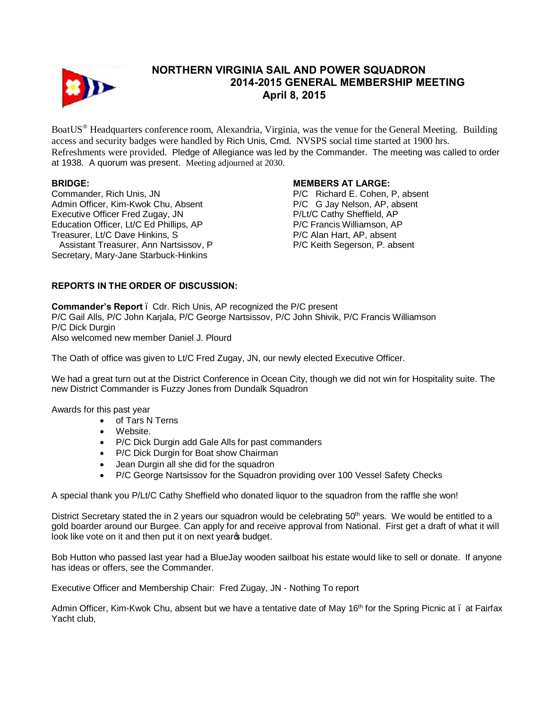

# **NORTHERN VIRGINIA SAIL AND POWER SQUADRON 2014-2015 GENERAL MEMBERSHIP MEETING April 8, 2015**

BoatUS® Headquarters conference room, Alexandria, Virginia, was the venue for the General Meeting. Building access and security badges were handled by Rich Unis, Cmd. NVSPS social time started at 1900 hrs. Refreshments were provided. Pledge of Allegiance was led by the Commander. The meeting was called to order at 1938. A quorum was present. Meeting adjourned at 2030.

## **BRIDGE:**

Commander, Rich Unis, JN Admin Officer, Kim-Kwok Chu, Absent Executive Officer Fred Zugay, JN Education Officer, Lt/C Ed Phillips, AP Treasurer, Lt/C Dave Hinkins, S Assistant Treasurer, Ann Nartsissov, P Secretary, Mary-Jane Starbuck-Hinkins

## **MEMBERS AT LARGE:**

P/C Richard E. Cohen, P, absent P/C G Jay Nelson, AP, absent P/Lt/C Cathy Sheffield, AP P/C Francis Williamson, AP P/C Alan Hart, AP, absent P/C Keith Segerson, P. absent

# **REPORTS IN THE ORDER OF DISCUSSION:**

**Commander's Report** – Cdr. Rich Unis, AP recognized the P/C present P/C Gail Alls, P/C John Karjala, P/C George Nartsissov, P/C John Shivik, P/C Francis Williamson P/C Dick Durgin Also welcomed new member Daniel J. Plourd

The Oath of office was given to Lt/C Fred Zugay, JN, our newly elected Executive Officer.

We had a great turn out at the District Conference in Ocean City, though we did not win for Hospitality suite. The new District Commander is Fuzzy Jones from Dundalk Squadron

Awards for this past year

- · of Tars N Terns
- · Website.
- · P/C Dick Durgin add Gale Alls for past commanders
- · P/C Dick Durgin for Boat show Chairman
- · Jean Durgin all she did for the squadron
- · P/C George Nartsissov for the Squadron providing over 100 Vessel Safety Checks

A special thank you P/Lt/C Cathy Sheffield who donated liquor to the squadron from the raffle she won!

District Secretary stated the in 2 years our squadron would be celebrating 50<sup>th</sup> years. We would be entitled to a gold boarder around our Burgee. Can apply for and receive approval from National. First get a draft of what it will look like vote on it and then put it on next year t budget.

Bob Hutton who passed last year had a BlueJay wooden sailboat his estate would like to sell or donate. If anyone has ideas or offers, see the Commander.

Executive Officer and Membership Chair: Fred Zugay, JN - Nothing To report

Admin Officer, Kim-Kwok Chu, absent but we have a tentative date of May 16<sup>th</sup> for the Spring Picnic at – at Fairfax Yacht club,